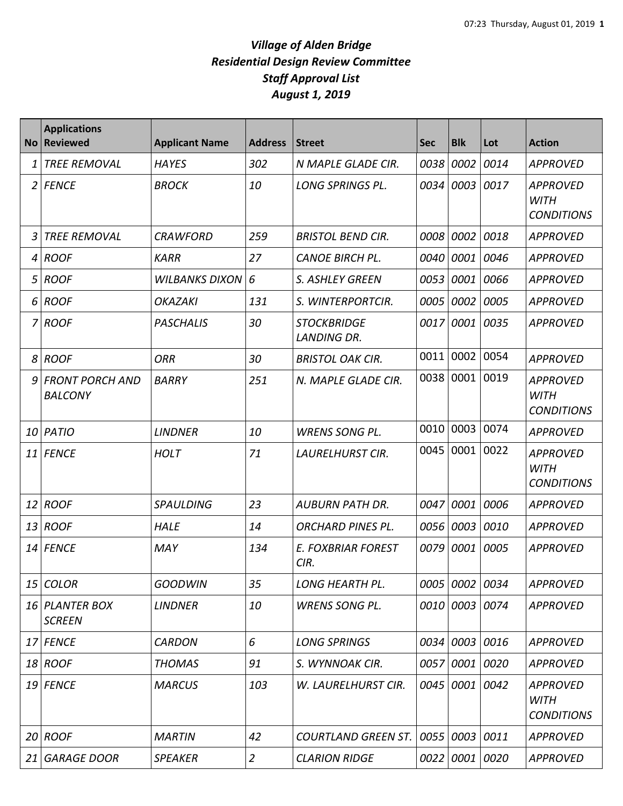| <b>No</b> | <b>Applications</b><br><b>Reviewed</b>   | <b>Applicant Name</b> | <b>Address</b> | <b>Street</b>                            | <b>Sec</b> | <b>Blk</b>     | Lot  | <b>Action</b>                                       |
|-----------|------------------------------------------|-----------------------|----------------|------------------------------------------|------------|----------------|------|-----------------------------------------------------|
| 1         | <b>TREE REMOVAL</b>                      | <b>HAYES</b>          | 302            | N MAPLE GLADE CIR.                       | 0038       | 0002           | 0014 | <b>APPROVED</b>                                     |
| 2         | <b>FENCE</b>                             | <b>BROCK</b>          | 10             | <b>LONG SPRINGS PL.</b>                  | 0034       | 0003           | 0017 | <b>APPROVED</b><br><b>WITH</b><br><b>CONDITIONS</b> |
| 3         | <b>TREE REMOVAL</b>                      | <b>CRAWFORD</b>       | 259            | <b>BRISTOL BEND CIR.</b>                 | 0008       | 0002           | 0018 | <b>APPROVED</b>                                     |
| 4         | <b>ROOF</b>                              | <b>KARR</b>           | 27             | <b>CANOE BIRCH PL.</b>                   | 0040       | 0001           | 0046 | <b>APPROVED</b>                                     |
| 5         | <b>ROOF</b>                              | <b>WILBANKS DIXON</b> | 6              | S. ASHLEY GREEN                          | 0053       | 0001           | 0066 | <b>APPROVED</b>                                     |
| 6         | <b>ROOF</b>                              | <b>OKAZAKI</b>        | 131            | S. WINTERPORTCIR.                        | 0005       | 0002           | 0005 | <b>APPROVED</b>                                     |
|           | 7 ROOF                                   | <b>PASCHALIS</b>      | 30             | <b>STOCKBRIDGE</b><br><b>LANDING DR.</b> | 0017       | 0001           | 0035 | <b>APPROVED</b>                                     |
| 8         | <b>ROOF</b>                              | <b>ORR</b>            | 30             | <b>BRISTOL OAK CIR.</b>                  | 0011       | 0002           | 0054 | <b>APPROVED</b>                                     |
| 9         | <b>FRONT PORCH AND</b><br><b>BALCONY</b> | <b>BARRY</b>          | 251            | N. MAPLE GLADE CIR.                      | 0038       | 0001           | 0019 | <b>APPROVED</b><br><b>WITH</b><br><b>CONDITIONS</b> |
| 10        | PATIO                                    | <b>LINDNER</b>        | 10             | <b>WRENS SONG PL.</b>                    | 0010       | 0003           | 0074 | <b>APPROVED</b>                                     |
| 11        | <b>FENCE</b>                             | <b>HOLT</b>           | 71             | <b>LAURELHURST CIR.</b>                  | 0045       | 0001           | 0022 | <b>APPROVED</b><br><b>WITH</b><br><b>CONDITIONS</b> |
| 12        | <b>ROOF</b>                              | SPAULDING             | 23             | <b>AUBURN PATH DR.</b>                   | 0047       | 0001           | 0006 | <b>APPROVED</b>                                     |
| 13        | <b>ROOF</b>                              | <b>HALE</b>           | 14             | <b>ORCHARD PINES PL.</b>                 | 0056       | 0003           | 0010 | <b>APPROVED</b>                                     |
| 14        | <b>FENCE</b>                             | MAY                   | 134            | E. FOXBRIAR FOREST<br>CIR.               | 0079       | 0001           | 0005 | <b>APPROVED</b>                                     |
| 15        | <b>COLOR</b>                             | <b>GOODWIN</b>        | 35             | LONG HEARTH PL.                          |            | 0005 0002 0034 |      | <b>APPROVED</b>                                     |
|           | 16 PLANTER BOX<br><b>SCREEN</b>          | <b>LINDNER</b>        | 10             | <b>WRENS SONG PL.</b>                    |            | 0010 0003 0074 |      | <b>APPROVED</b>                                     |
|           | 17 FENCE                                 | <b>CARDON</b>         | 6              | <b>LONG SPRINGS</b>                      |            | 0034 0003 0016 |      | <b>APPROVED</b>                                     |
|           | <b>18 ROOF</b>                           | <b>THOMAS</b>         | 91             | S. WYNNOAK CIR.                          |            | 0057 0001 0020 |      | <b>APPROVED</b>                                     |
|           | 19 FENCE                                 | <b>MARCUS</b>         | 103            | W. LAURELHURST CIR.                      |            | 0045 0001 0042 |      | <b>APPROVED</b><br><b>WITH</b><br><b>CONDITIONS</b> |
|           | 20 ROOF                                  | <b>MARTIN</b>         | 42             | <b>COURTLAND GREEN ST.</b>               | 0055       | 0003 0011      |      | <b>APPROVED</b>                                     |
| 21        | <b>GARAGE DOOR</b>                       | <b>SPEAKER</b>        | $\overline{2}$ | <b>CLARION RIDGE</b>                     |            | 0022 0001 0020 |      | <b>APPROVED</b>                                     |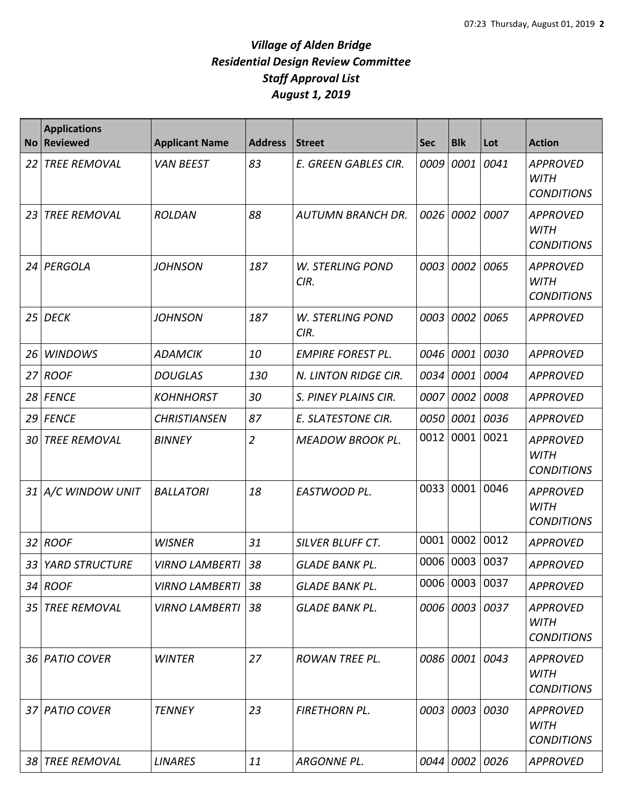| <b>No</b> | <b>Applications</b><br><b>Reviewed</b> | <b>Applicant Name</b> | <b>Address</b> | <b>Street</b>                   | <b>Sec</b> | <b>Blk</b>     | Lot  | <b>Action</b>                                       |
|-----------|----------------------------------------|-----------------------|----------------|---------------------------------|------------|----------------|------|-----------------------------------------------------|
| 22        | <b>TREE REMOVAL</b>                    | <b>VAN BEEST</b>      | 83             | E. GREEN GABLES CIR.            | 0009       | 0001           | 0041 | <b>APPROVED</b><br><b>WITH</b><br><b>CONDITIONS</b> |
| 23        | <b>TREE REMOVAL</b>                    | <b>ROLDAN</b>         | 88             | <b>AUTUMN BRANCH DR.</b>        | 0026       | 0002           | 0007 | <b>APPROVED</b><br><b>WITH</b><br><b>CONDITIONS</b> |
| 24        | PERGOLA                                | <b>JOHNSON</b>        | 187            | <b>W. STERLING POND</b><br>CIR. | 0003       | 0002           | 0065 | <b>APPROVED</b><br><b>WITH</b><br><b>CONDITIONS</b> |
| 25        | <b>DECK</b>                            | <b>JOHNSON</b>        | 187            | <b>W. STERLING POND</b><br>CIR. | 0003       | 0002           | 0065 | <b>APPROVED</b>                                     |
| 26        | <b>WINDOWS</b>                         | <b>ADAMCIK</b>        | 10             | <b>EMPIRE FOREST PL.</b>        | 0046       | 0001           | 0030 | <b>APPROVED</b>                                     |
| 27        | <b>ROOF</b>                            | <b>DOUGLAS</b>        | 130            | N. LINTON RIDGE CIR.            | 0034       | 0001           | 0004 | <b>APPROVED</b>                                     |
| 28        | <b>FENCE</b>                           | <b>KOHNHORST</b>      | 30             | S. PINEY PLAINS CIR.            | 0007       | 0002           | 0008 | <b>APPROVED</b>                                     |
|           | 29 FENCE                               | <b>CHRISTIANSEN</b>   | 87             | E. SLATESTONE CIR.              | 0050       | 0001           | 0036 | <b>APPROVED</b>                                     |
| 30        | <b>TREE REMOVAL</b>                    | <b>BINNEY</b>         | $\overline{2}$ | <b>MEADOW BROOK PL.</b>         | 0012       | 0001           | 0021 | <b>APPROVED</b><br><b>WITH</b><br><b>CONDITIONS</b> |
|           | 31 A/C WINDOW UNIT                     | <b>BALLATORI</b>      | 18             | EASTWOOD PL.                    | 0033       | 0001           | 0046 | <b>APPROVED</b><br><b>WITH</b><br><b>CONDITIONS</b> |
| 32        | <b>ROOF</b>                            | <b>WISNER</b>         | 31             | <b>SILVER BLUFF CT.</b>         | 0001       | 0002           | 0012 | <b>APPROVED</b>                                     |
| 33        | YARD STRUCTURE                         | <b>VIRNO LAMBERTI</b> | 38             | <b>GLADE BANK PL.</b>           | 0006       | 0003           | 0037 | <b>APPROVED</b>                                     |
|           | 34 ROOF                                | <b>VIRNO LAMBERTI</b> | 38             | <b>GLADE BANK PL.</b>           |            | 0006 0003 0037 |      | <b>APPROVED</b>                                     |
|           | 35   TREE REMOVAL                      | <b>VIRNO LAMBERTI</b> | 38             | <b>GLADE BANK PL.</b>           |            | 0006 0003 0037 |      | <b>APPROVED</b><br><b>WITH</b><br><b>CONDITIONS</b> |
|           | 36 PATIO COVER                         | <b>WINTER</b>         | 27             | <b>ROWAN TREE PL.</b>           |            | 0086 0001 0043 |      | <b>APPROVED</b><br><b>WITH</b><br><b>CONDITIONS</b> |
|           | 37 PATIO COVER                         | <b>TENNEY</b>         | 23             | <b>FIRETHORN PL.</b>            |            | 0003 0003 0030 |      | <b>APPROVED</b><br><b>WITH</b><br><b>CONDITIONS</b> |
|           | 38 TREE REMOVAL                        | <b>LINARES</b>        | 11             | <b>ARGONNE PL.</b>              |            | 0044 0002 0026 |      | <b>APPROVED</b>                                     |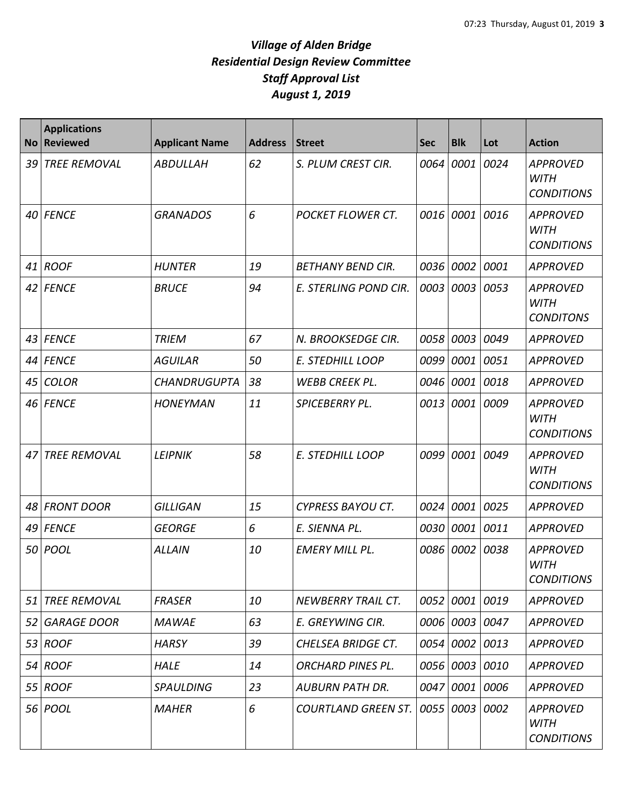| <b>No</b> | <b>Applications</b><br><b>Reviewed</b> | <b>Applicant Name</b> | <b>Address</b> | <b>Street</b>              | <b>Sec</b> | <b>Blk</b>         | Lot  | <b>Action</b>                                       |
|-----------|----------------------------------------|-----------------------|----------------|----------------------------|------------|--------------------|------|-----------------------------------------------------|
| 39        | <b>TREE REMOVAL</b>                    | <b>ABDULLAH</b>       | 62             | S. PLUM CREST CIR.         | 0064       | 0001               | 0024 | <b>APPROVED</b><br><b>WITH</b><br><b>CONDITIONS</b> |
| 40        | <b>FENCE</b>                           | <b>GRANADOS</b>       | 6              | POCKET FLOWER CT.          |            | 0016 0001          | 0016 | <b>APPROVED</b><br><b>WITH</b><br><b>CONDITIONS</b> |
| 41        | <b>ROOF</b>                            | <b>HUNTER</b>         | 19             | <b>BETHANY BEND CIR.</b>   | 0036       | 0002               | 0001 | <b>APPROVED</b>                                     |
| 42        | <b>FENCE</b>                           | <b>BRUCE</b>          | 94             | E. STERLING POND CIR.      | 0003       | 0003               | 0053 | <b>APPROVED</b><br><b>WITH</b><br><b>CONDITONS</b>  |
| 43        | <b>FENCE</b>                           | <b>TRIEM</b>          | 67             | N. BROOKSEDGE CIR.         | 0058       | 0003               | 0049 | <b>APPROVED</b>                                     |
| 44        | <b>FENCE</b>                           | <b>AGUILAR</b>        | 50             | E. STEDHILL LOOP           | 0099       | 0001               | 0051 | <b>APPROVED</b>                                     |
| 45        | <b>COLOR</b>                           | CHANDRUGUPTA          | 38             | <b>WEBB CREEK PL.</b>      | 0046       | 0001               | 0018 | <b>APPROVED</b>                                     |
| 46        | <b>FENCE</b>                           | <b>HONEYMAN</b>       | 11             | SPICEBERRY PL.             | 0013       | 0001               | 0009 | <b>APPROVED</b><br><b>WITH</b><br><b>CONDITIONS</b> |
| 47        | <b>TREE REMOVAL</b>                    | <b>LEIPNIK</b>        | 58             | E. STEDHILL LOOP           | 0099       | 0001               | 0049 | <b>APPROVED</b><br><b>WITH</b><br><b>CONDITIONS</b> |
| 48        | <b>FRONT DOOR</b>                      | <b>GILLIGAN</b>       | 15             | <b>CYPRESS BAYOU CT.</b>   | 0024       | 0001               | 0025 | <b>APPROVED</b>                                     |
| 49        | <b>FENCE</b>                           | <b>GEORGE</b>         | 6              | E. SIENNA PL.              | 0030       | 0001               | 0011 | <b>APPROVED</b>                                     |
| 50        | POOL                                   | <b>ALLAIN</b>         | 10             | <b>EMERY MILL PL.</b>      |            | 0086 0002          | 0038 | <b>APPROVED</b><br><b>WITH</b><br><b>CONDITIONS</b> |
|           | 51 TREE REMOVAL                        | <b>FRASER</b>         | 10             | NEWBERRY TRAIL CT.         |            | 0052 0001 0019     |      | <b>APPROVED</b>                                     |
| 52        | <b>GARAGE DOOR</b>                     | <b>MAWAE</b>          | 63             | E. GREYWING CIR.           |            | 0006 0003 0047     |      | <b>APPROVED</b>                                     |
|           | 53 ROOF                                | <b>HARSY</b>          | 39             | <b>CHELSEA BRIDGE CT.</b>  |            | 0054 0002 0013     |      | <b>APPROVED</b>                                     |
|           | 54 ROOF                                | <b>HALE</b>           | 14             | <b>ORCHARD PINES PL.</b>   |            | 0056 0003 0010     |      | <b>APPROVED</b>                                     |
|           | 55 ROOF                                | <b>SPAULDING</b>      | 23             | <b>AUBURN PATH DR.</b>     |            | 0047 0001 0006     |      | <b>APPROVED</b>                                     |
|           | 56 <i>POOL</i>                         | <b>MAHER</b>          | 6              | <b>COURTLAND GREEN ST.</b> |            | 0055   0003   0002 |      | <b>APPROVED</b><br><b>WITH</b><br><b>CONDITIONS</b> |